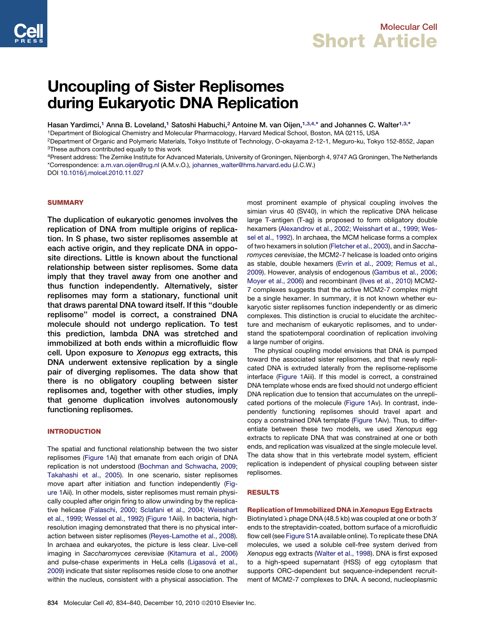

# Uncoupling of Sister Replisomes during Eukaryotic DNA Replication

Hasan Yardimci,<sup>1</sup> Anna B. Loveland,<sup>1</sup> Satoshi Habuchi,<sup>2</sup> Antoine M. van Oijen,<sup>1,3,4,\*</sup> and Johannes C. Walter<sup>1,3,\*</sup>

1Department of Biological Chemistry and Molecular Pharmacology, Harvard Medical School, Boston, MA 02115, USA

2Department of Organic and Polymeric Materials, Tokyo Institute of Technology, O-okayama 2-12-1, Meguro-ku, Tokyo 152-8552, Japan 3These authors contributed equally to this work

4Present address: The Zernike Institute for Advanced Materials, University of Groningen, Nijenborgh 4, 9747 AG Groningen, The Netherlands \*Correspondence: [a.m.van.oijen@rug.nl](mailto:a.m.van.oijen@rug.nl) (A.M.v.O.), [johannes\\_walter@hms.harvard.edu](mailto:johannes_walter@hms.harvard.edu) (J.C.W.)

DOI [10.1016/j.molcel.2010.11.027](http://dx.doi.org/10.1016/j.molcel.2010.11.027)

## **SUMMARY**

The duplication of eukaryotic genomes involves the replication of DNA from multiple origins of replication. In S phase, two sister replisomes assemble at each active origin, and they replicate DNA in opposite directions. Little is known about the functional relationship between sister replisomes. Some data imply that they travel away from one another and thus function independently. Alternatively, sister replisomes may form a stationary, functional unit that draws parental DNA toward itself. If this ''double replisome'' model is correct, a constrained DNA molecule should not undergo replication. To test this prediction, lambda DNA was stretched and immobilized at both ends within a microfluidic flow cell. Upon exposure to Xenopus egg extracts, this DNA underwent extensive replication by a single pair of diverging replisomes. The data show that there is no obligatory coupling between sister replisomes and, together with other studies, imply that genome duplication involves autonomously functioning replisomes.

# INTRODUCTION

The spatial and functional relationship between the two sister replisomes [\(Figure 1A](#page-1-0)i) that emanate from each origin of DNA replication is not understood ([Bochman and Schwacha, 2009;](#page-5-0) [Takahashi et al., 2005\)](#page-5-0). In one scenario, sister replisomes move apart after initiation and function independently ([Fig](#page-1-0)[ure 1](#page-1-0)Aii). In other models, sister replisomes must remain physically coupled after origin firing to allow unwinding by the replicative helicase ([Falaschi, 2000; Sclafani et al., 2004; Weisshart](#page-5-0) [et al., 1999; Wessel et al., 1992\)](#page-5-0) ([Figure 1A](#page-1-0)iii). In bacteria, highresolution imaging demonstrated that there is no physical interaction between sister replisomes ([Reyes-Lamothe et al., 2008](#page-6-0)). In archaea and eukaryotes, the picture is less clear. Live-cell imaging in *Saccharomyces cerevisiae* ([Kitamura et al., 2006\)](#page-5-0) and pulse-chase experiments in HeLa cells (Ligasová et al., [2009](#page-6-0)) indicate that sister replisomes reside close to one another within the nucleus, consistent with a physical association. The

most prominent example of physical coupling involves the simian virus 40 (SV40), in which the replicative DNA helicase large T-antigen (T-ag) is proposed to form obligatory double hexamers [\(Alexandrov et al., 2002; Weisshart et al., 1999; Wes](#page-5-0)[sel et al., 1992](#page-5-0)). In archaea, the MCM helicase forms a complex of two hexamers in solution ([Fletcher et al., 2003](#page-5-0)), and in *Saccharomyces cerevisiae*, the MCM2-7 helicase is loaded onto origins as stable, double hexamers ([Evrin et al., 2009; Remus et al.,](#page-5-0) [2009\)](#page-5-0). However, analysis of endogenous [\(Gambus et al., 2006;](#page-5-0) [Moyer et al., 2006\)](#page-5-0) and recombinant [\(Ilves et al., 2010](#page-5-0)) MCM2- 7 complexes suggests that the active MCM2-7 complex might be a single hexamer. In summary, it is not known whether eukaryotic sister replisomes function independently or as dimeric complexes. This distinction is crucial to elucidate the architecture and mechanism of eukaryotic replisomes, and to understand the spatiotemporal coordination of replication involving a large number of origins.

The physical coupling model envisions that DNA is pumped toward the associated sister replisomes, and that newly replicated DNA is extruded laterally from the replisome-replisome interface ([Figure 1A](#page-1-0)iii). If this model is correct, a constrained DNA template whose ends are fixed should not undergo efficient DNA replication due to tension that accumulates on the unreplicated portions of the molecule ([Figure 1](#page-1-0)Av). In contrast, independently functioning replisomes should travel apart and copy a constrained DNA template [\(Figure 1](#page-1-0)Aiv). Thus, to differentiate between these two models, we used *Xenopus* egg extracts to replicate DNA that was constrained at one or both ends, and replication was visualized at the single molecule level. The data show that in this vertebrate model system, efficient replication is independent of physical coupling between sister replisomes.

## RESULTS

## Replication of Immobilized DNA in Xenopus Egg Extracts

Biotinylated  $\lambda$  phage DNA (48.5 kb) was coupled at one or both 3' ends to the streptavidin-coated, bottom surface of a microfluidic flow cell (see [Figure S1A](#page-5-0) available online). To replicate these DNA molecules, we used a soluble cell-free system derived from *Xenopus* egg extracts ([Walter et al., 1998\)](#page-6-0). DNA is first exposed to a high-speed supernatant (HSS) of egg cytoplasm that supports ORC-dependent but sequence-independent recruitment of MCM2-7 complexes to DNA. A second, nucleoplasmic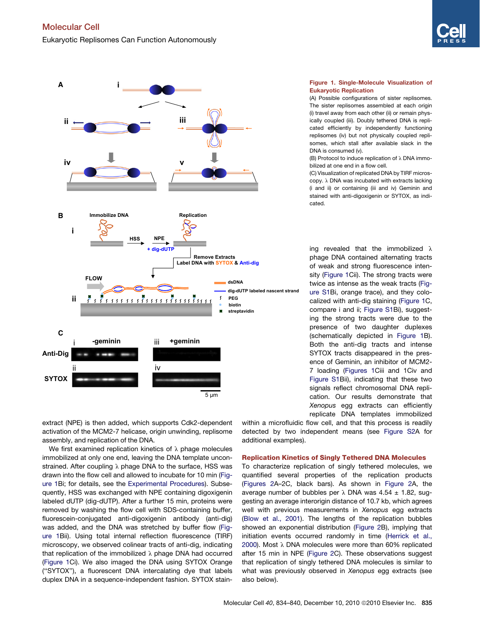<span id="page-1-0"></span>

Figure 1. Single-Molecule Visualization of Eukaryotic Replication

(A) Possible configurations of sister replisomes. The sister replisomes assembled at each origin (i) travel away from each other (ii) or remain physically coupled (iii). Doubly tethered DNA is replicated efficiently by independently functioning replisomes (iv) but not physically coupled replisomes, which stall after available slack in the DNA is consumed (v).

(B) Protocol to induce replication of  $\lambda$  DNA immobilized at one end in a flow cell.

(C) Visualization of replicated DNA by TIRF micros $copy.  $\lambda$  DNA was incubated with extracts lacking$ (i and ii) or containing (iii and iv) Geminin and stained with anti-digoxigenin or SYTOX, as indicated.

ing revealed that the immobilized  $\lambda$ phage DNA contained alternating tracts of weak and strong fluorescence intensity (Figure 1Cii). The strong tracts were twice as intense as the weak tracts [\(Fig](#page-5-0)[ure S1](#page-5-0)Bi, orange trace), and they colocalized with anti-dig staining (Figure 1C, compare i and ii; [Figure S1B](#page-5-0)i), suggesting the strong tracts were due to the presence of two daughter duplexes (schematically depicted in Figure 1B). Both the anti-dig tracts and intense SYTOX tracts disappeared in the presence of Geminin, an inhibitor of MCM2- 7 loading (Figures 1Ciii and 1Civ and [Figure S1](#page-5-0)Bii), indicating that these two signals reflect chromosomal DNA replication. Our results demonstrate that *Xenopus* egg extracts can efficiently replicate DNA templates immobilized

extract (NPE) is then added, which supports Cdk2-dependent activation of the MCM2-7 helicase, origin unwinding, replisome assembly, and replication of the DNA.

We first examined replication kinetics of  $\lambda$  phage molecules immobilized at only one end, leaving the DNA template unconstrained. After coupling  $\lambda$  phage DNA to the surface, HSS was drawn into the flow cell and allowed to incubate for 10 min (Figure 1Bi; for details, see the [Experimental Procedures](#page-4-0)). Subsequently, HSS was exchanged with NPE containing digoxigenin labeled dUTP (dig-dUTP). After a further 15 min, proteins were removed by washing the flow cell with SDS-containing buffer, fluorescein-conjugated anti-digoxigenin antibody (anti-dig) was added, and the DNA was stretched by buffer flow (Figure 1Bii). Using total internal reflection fluorescence (TIRF) microscopy, we observed colinear tracts of anti-dig, indicating that replication of the immobilized  $\lambda$  phage DNA had occurred (Figure 1Ci). We also imaged the DNA using SYTOX Orange (''SYTOX''), a fluorescent DNA intercalating dye that labels duplex DNA in a sequence-independent fashion. SYTOX stainwithin a microfluidic flow cell, and that this process is readily detected by two independent means (see [Figure S2](#page-5-0)A for additional examples).

## Replication Kinetics of Singly Tethered DNA Molecules

To characterize replication of singly tethered molecules, we quantified several properties of the replication products [\(Figures 2A](#page-2-0)–2C, black bars). As shown in [Figure 2A](#page-2-0), the average number of bubbles per  $\lambda$  DNA was 4.54  $\pm$  1.82, suggesting an average interorigin distance of 10.7 kb, which agrees well with previous measurements in *Xenopus* egg extracts [\(Blow et al., 2001\)](#page-5-0). The lengths of the replication bubbles showed an exponential distribution ([Figure 2B](#page-2-0)), implying that initiation events occurred randomly in time ([Herrick et al.,](#page-5-0) [2000\)](#page-5-0). Most  $\lambda$  DNA molecules were more than 60% replicated after 15 min in NPE [\(Figure 2](#page-2-0)C). These observations suggest that replication of singly tethered DNA molecules is similar to what was previously observed in *Xenopus* egg extracts (see also below).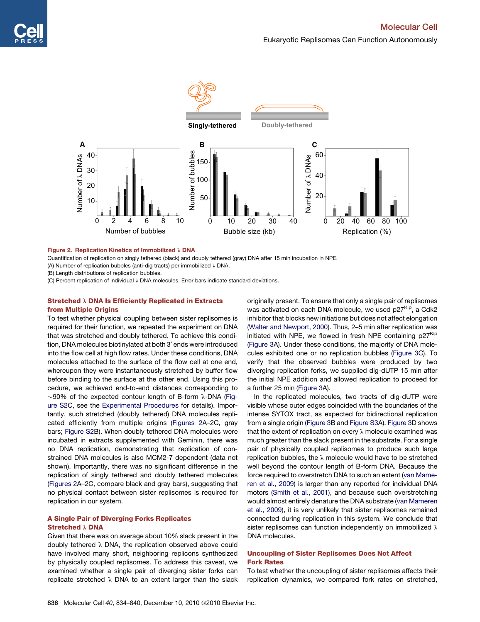<span id="page-2-0"></span>

## Figure 2. Replication Kinetics of Immobilized  $\lambda$  DNA

Quantification of replication on singly tethered (black) and doubly tethered (gray) DNA after 15 min incubation in NPE.

(A) Number of replication bubbles (anti-dig tracts) per immobilized  $\lambda$  DNA.

(B) Length distributions of replication bubbles.

(C) Percent replication of individual  $\lambda$  DNA molecules. Error bars indicate standard deviations.

# Stretched  $\lambda$  DNA Is Efficiently Replicated in Extracts from Multiple Origins

To test whether physical coupling between sister replisomes is required for their function, we repeated the experiment on DNA that was stretched and doubly tethered. To achieve this condition, DNA molecules biotinylated at both 3' ends were introduced into the flow cell at high flow rates. Under these conditions, DNA molecules attached to the surface of the flow cell at one end, whereupon they were instantaneously stretched by buffer flow before binding to the surface at the other end. Using this procedure, we achieved end-to-end distances corresponding to  $\sim$ 90% of the expected contour length of B-form  $\lambda$ -DNA [\(Fig](#page-5-0)[ure S2](#page-5-0)C, see the [Experimental Procedures](#page-4-0) for details). Importantly, such stretched (doubly tethered) DNA molecules replicated efficiently from multiple origins (Figures 2A–2C, gray bars; [Figure S2](#page-5-0)B). When doubly tethered DNA molecules were incubated in extracts supplemented with Geminin, there was no DNA replication, demonstrating that replication of constrained DNA molecules is also MCM2-7 dependent (data not shown). Importantly, there was no significant difference in the replication of singly tethered and doubly tethered molecules (Figures 2A–2C, compare black and gray bars), suggesting that no physical contact between sister replisomes is required for replication in our system.

# A Single Pair of Diverging Forks Replicates Stretched  $\lambda$  DNA

Given that there was on average about 10% slack present in the doubly tethered  $\lambda$  DNA, the replication observed above could have involved many short, neighboring replicons synthesized by physically coupled replisomes. To address this caveat, we examined whether a single pair of diverging sister forks can replicate stretched  $\lambda$  DNA to an extent larger than the slack originally present. To ensure that only a single pair of replisomes was activated on each DNA molecule, we used p27<sup>Kip</sup>, a Cdk2 inhibitor that blocks new initiations but does not affect elongation [\(Walter and Newport, 2000\)](#page-6-0). Thus, 2–5 min after replication was initiated with NPE, we flowed in fresh NPE containing  $p27<sup>Kip</sup>$ [\(Figure 3](#page-3-0)A). Under these conditions, the majority of DNA molecules exhibited one or no replication bubbles ([Figure 3C](#page-3-0)). To verify that the observed bubbles were produced by two diverging replication forks, we supplied dig-dUTP 15 min after the initial NPE addition and allowed replication to proceed for a further 25 min ([Figure 3A](#page-3-0)).

In the replicated molecules, two tracts of dig-dUTP were visible whose outer edges coincided with the boundaries of the intense SYTOX tract, as expected for bidirectional replication from a single origin ([Figure 3B](#page-3-0) and [Figure S3](#page-5-0)A). [Figure 3D](#page-3-0) shows that the extent of replication on every  $\lambda$  molecule examined was much greater than the slack present in the substrate. For a single pair of physically coupled replisomes to produce such large replication bubbles, the  $\lambda$  molecule would have to be stretched well beyond the contour length of B-form DNA. Because the force required to overstretch DNA to such an extent [\(van Mame](#page-6-0)[ren et al., 2009](#page-6-0)) is larger than any reported for individual DNA motors [\(Smith et al., 2001\)](#page-6-0), and because such overstretching would almost entirely denature the DNA substrate ([van Mameren](#page-6-0) [et al., 2009](#page-6-0)), it is very unlikely that sister replisomes remained connected during replication in this system. We conclude that sister replisomes can function independently on immobilized  $\lambda$ DNA molecules.

# Uncoupling of Sister Replisomes Does Not Affect Fork Rates

To test whether the uncoupling of sister replisomes affects their replication dynamics, we compared fork rates on stretched,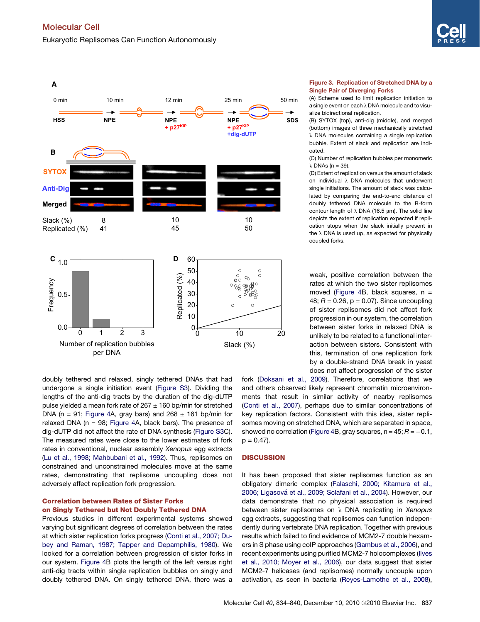<span id="page-3-0"></span>

doubly tethered and relaxed, singly tethered DNAs that had undergone a single initiation event ([Figure S3](#page-5-0)). Dividing the lengths of the anti-dig tracts by the duration of the dig-dUTP pulse yielded a mean fork rate of  $267 \pm 160$  bp/min for stretched DNA (n = 91; [Figure 4A](#page-4-0), gray bars) and  $268 \pm 161$  bp/min for relaxed DNA ( $n = 98$ ; [Figure 4A](#page-4-0), black bars). The presence of dig-dUTP did not affect the rate of DNA synthesis [\(Figure S3C](#page-5-0)). The measured rates were close to the lower estimates of fork rates in conventional, nuclear assembly *Xenopus* egg extracts [\(Lu et al., 1998; Mahbubani et al., 1992](#page-6-0)). Thus, replisomes on constrained and unconstrained molecules move at the same rates, demonstrating that replisome uncoupling does not adversely affect replication fork progression.

# Correlation between Rates of Sister Forks on Singly Tethered but Not Doubly Tethered DNA

Previous studies in different experimental systems showed varying but significant degrees of correlation between the rates at which sister replication forks progress ([Conti et al., 2007; Du](#page-5-0)[bey and Raman, 1987; Tapper and Depamphilis, 1980\)](#page-5-0). We looked for a correlation between progression of sister forks in our system. [Figure 4](#page-4-0)B plots the length of the left versus right anti-dig tracts within single replication bubbles on singly and doubly tethered DNA. On singly tethered DNA, there was a

### Figure 3. Replication of Stretched DNA by a Single Pair of Diverging Forks

(A) Scheme used to limit replication initiation to a single event on each  $\lambda$  DNA molecule and to visualize bidirectional replication.

(B) SYTOX (top), anti-dig (middle), and merged (bottom) images of three mechanically stretched  $\lambda$  DNA molecules containing a single replication bubble. Extent of slack and replication are indicated.

(C) Number of replication bubbles per monomeric  $\lambda$  DNAs (n = 39).

(D) Extent of replication versus the amount of slack on individual  $\lambda$  DNA molecules that underwent single initiations. The amount of slack was calculated by comparing the end-to-end distance of doubly tethered DNA molecule to the B-form contour length of  $\lambda$  DNA (16.5  $\mu$ m). The solid line depicts the extent of replication expected if replication stops when the slack initially present in the  $\lambda$  DNA is used up, as expected for physically coupled forks.

weak, positive correlation between the rates at which the two sister replisomes moved ([Figure 4B](#page-4-0), black squares,  $n =$ 48;  $R = 0.26$ ,  $p = 0.07$ ). Since uncoupling of sister replisomes did not affect fork progression in our system, the correlation between sister forks in relaxed DNA is unlikely to be related to a functional interaction between sisters. Consistent with this, termination of one replication fork by a double-strand DNA break in yeast does not affect progression of the sister

fork [\(Doksani et al., 2009](#page-5-0)). Therefore, correlations that we and others observed likely represent chromatin microenvironments that result in similar activity of nearby replisomes [\(Conti et al., 2007](#page-5-0)), perhaps due to similar concentrations of key replication factors. Consistent with this idea, sister replisomes moving on stretched DNA, which are separated in space, showed no correlation ([Figure 4](#page-4-0)B, gray squares,  $n = 45$ ;  $R = -0.1$ ,  $p = 0.47$ ).

# **DISCUSSION**

It has been proposed that sister replisomes function as an obligatory dimeric complex ([Falaschi, 2000; Kitamura et al.,](#page-5-0) 2006; Ligasová [et al., 2009; Sclafani et al., 2004](#page-5-0)). However, our data demonstrate that no physical association is required between sister replisomes on l DNA replicating in *Xenopus* egg extracts, suggesting that replisomes can function independently during vertebrate DNA replication. Together with previous results which failed to find evidence of MCM2-7 double hexamers in S phase using coIP approaches ([Gambus et al., 2006\)](#page-5-0), and recent experiments using purified MCM2-7 holocomplexes [\(Ilves](#page-5-0) [et al., 2010; Moyer et al., 2006](#page-5-0)), our data suggest that sister MCM2-7 helicases (and replisomes) normally uncouple upon activation, as seen in bacteria ([Reyes-Lamothe et al., 2008\)](#page-6-0),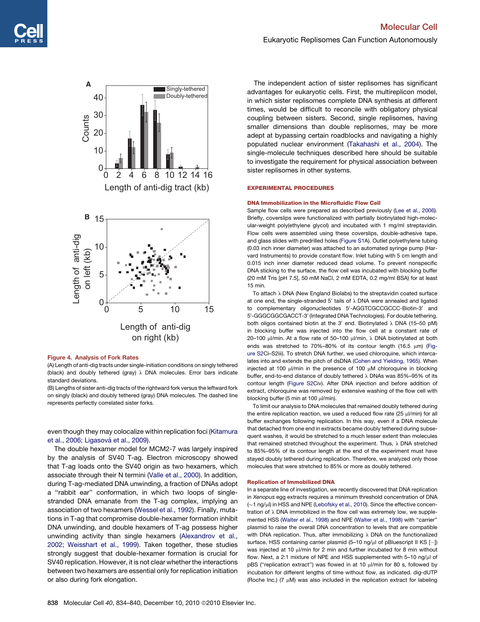<span id="page-4-0"></span>

#### Figure 4. Analysis of Fork Rates

(A) Length of anti-dig tracts under single-initiation conditions on singly tethered (black) and doubly tethered (gray)  $\lambda$  DNA molecules. Error bars indicate standard deviations.

(B) Lengths of sister anti-dig tracts of the rightward fork versus the leftward fork on singly (black) and doubly tethered (gray) DNA molecules. The dashed line represents perfectly correlated sister forks.

even though they may colocalize within replication foci ([Kitamura](#page-5-0) et al., 2006; Ligasová et al., 2009).

The double hexamer model for MCM2-7 was largely inspired by the analysis of SV40 T-ag. Electron microscopy showed that T-ag loads onto the SV40 origin as two hexamers, which associate through their N termini [\(Valle et al., 2000\)](#page-6-0). In addition, during T-ag-mediated DNA unwinding, a fraction of DNAs adopt a ''rabbit ear'' conformation, in which two loops of singlestranded DNA emanate from the T-ag complex, implying an association of two hexamers [\(Wessel et al., 1992\)](#page-6-0). Finally, mutations in T-ag that compromise double-hexamer formation inhibit DNA unwinding, and double hexamers of T-ag possess higher unwinding activity than single hexamers ([Alexandrov et al.,](#page-5-0) [2002; Weisshart et al., 1999](#page-5-0)). Taken together, these studies strongly suggest that double-hexamer formation is crucial for SV40 replication. However, it is not clear whether the interactions between two hexamers are essential only for replication initiation or also during fork elongation.

The independent action of sister replisomes has significant advantages for eukaryotic cells. First, the multireplicon model, in which sister replisomes complete DNA synthesis at different times, would be difficult to reconcile with obligatory physical coupling between sisters. Second, single replisomes, having smaller dimensions than double replisomes, may be more adept at bypassing certain roadblocks and navigating a highly populated nuclear environment ([Takahashi et al., 2004](#page-6-0)). The single-molecule techniques described here should be suitable to investigate the requirement for physical association between sister replisomes in other systems.

#### EXPERIMENTAL PROCEDURES

#### DNA Immobilization in the Microfluidic Flow Cell

Sample flow cells were prepared as described previously ([Lee et al., 2006](#page-6-0)). Briefly, coverslips were functionalized with partially biotinylated high-molecular-weight poly(ethylene glycol) and incubated with 1 mg/ml streptavidin. Flow cells were assembled using these coverslips, double-adhesive tape, and glass slides with predrilled holes ([Figure S1](#page-5-0)A). Outlet polyethylene tubing (0.03 inch inner diameter) was attached to an automated syringe pump (Harvard Instruments) to provide constant flow. Inlet tubing with 5 cm length and 0.015 inch inner diameter reduced dead volume. To prevent nonspecific DNA sticking to the surface, the flow cell was incubated with blocking buffer (20 mM Tris [pH 7.5], 50 mM NaCl, 2 mM EDTA, 0.2 mg/ml BSA) for at least 15 min.

To attach  $\lambda$  DNA (New England Biolabs) to the streptavidin coated surface at one end, the single-stranded 5' tails of  $\lambda$  DNA were annealed and ligated to complementary oligonucleotides 5'-AGGTCGCCGCCC-Biotin-3' and 5'-GGGCGGCGACCT-3' (Integrated DNA Technologies). For double tethering, both oligos contained biotin at the 3' end. Biotinylated  $\lambda$  DNA (15–50 pM) in blocking buffer was injected into the flow cell at a constant rate of 20–100  $\mu$ /min. At a flow rate of 50–100  $\mu$ l/min,  $\lambda$  DNA biotinylated at both ends was stretched to 70%-80% of its contour length (16.5  $\mu$ m) ([Fig](#page-5-0)[ure S2](#page-5-0)Ci–S2iii). To stretch DNA further, we used chloroquine, which intercalates into and extends the pitch of dsDNA [\(Cohen and Yielding, 1965](#page-5-0)). When injected at 100  $\mu$ I/min in the presence of 100  $\mu$ M chloroquine in blocking buffer, end-to-end distance of doubly tethered  $\lambda$  DNAs was 85%–95% of its contour length ([Figure S2C](#page-5-0)iv). After DNA injection and before addition of extract, chloroquine was removed by extensive washing of the flow cell with blocking buffer (5 min at 100 ul/min).

To limit our analysis to DNA molecules that remained doubly tethered during the entire replication reaction, we used a reduced flow rate (25 µl/min) for all buffer exchanges following replication. In this way, even if a DNA molecule that detached from one end in extracts became doubly tethered during subsequent washes, it would be stretched to a much lesser extent than molecules that remained stretched throughout the experiment. Thus,  $\lambda$  DNA stretched to 85%–95% of its contour length at the end of the experiment must have stayed doubly tethered during replication. Therefore, we analyzed only those molecules that were stretched to 85% or more as doubly tethered.

#### Replication of Immobilized DNA

In a separate line of investigation, we recently discovered that DNA replication in *Xenopus* egg extracts requires a minimum threshold concentration of DNA  $(\sim$ 1 ng/ $\mu$ l) in HSS and NPE [\(Lebofsky et al., 2010](#page-6-0)). Since the effective concentration of  $\lambda$  DNA immobilized in the flow cell was extremely low, we supple-mented HSS ([Walter et al., 1998\)](#page-6-0) and NPE [\(Walter et al., 1998](#page-6-0)) with "carrier" plasmid to raise the overall DNA concentration to levels that are compatible with DNA replication. Thus, after immobilizing  $\lambda$  DNA on the functionalized surface, HSS containing carrier plasmid (5-10 ng/µl of pBluescript II KS [-]) was injected at 10 ul/min for 2 min and further incubated for 8 min without flow. Next, a 2:1 mixture of NPE and HSS supplemented with 5-10 ng/µl of pBS ("replication extract") was flowed in at 10 µl/min for 80 s, followed by incubation for different lengths of time without flow, as indicated. dig-dUTP (Roche Inc.) (7  $\mu$ M) was also included in the replication extract for labeling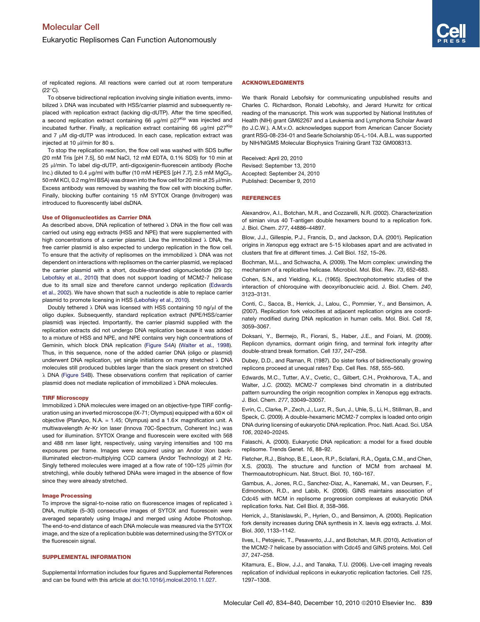<span id="page-5-0"></span>of replicated regions. All reactions were carried out at room temperature  $(22^{\circ}C)$ .

To observe bidirectional replication involving single initiation events, immobilized  $\lambda$  DNA was incubated with HSS/carrier plasmid and subsequently replaced with replication extract (lacking dig-dUTP). After the time specified, a second replication extract containing 66  $\mu$ g/ml p27<sup>Kip</sup> was injected and incubated further. Finally, a replication extract containing 66  $\mu$ g/ml p27Kip and  $7 \mu$ M dig-dUTP was introduced. In each case, replication extract was injected at 10 ul/min for 80 s.

To stop the replication reaction, the flow cell was washed with SDS buffer (20 mM Tris [pH 7.5], 50 mM NaCl, 12 mM EDTA, 0.1% SDS) for 10 min at 25 µl/min. To label dig-dUTP, anti-digoxigenin-fluorescein antibody (Roche Inc.) diluted to 0.4  $\mu$ g/ml with buffer (10 mM HEPES [pH 7.7], 2.5 mM MgCl<sub>2</sub>, 50 mM KCl, 0.2 mg/ml BSA) was drawn into the flow cell for 20 min at 25 µl/min. Excess antibody was removed by washing the flow cell with blocking buffer. Finally, blocking buffer containing 15 nM SYTOX Orange (Invitrogen) was introduced to fluorescently label dsDNA.

#### Use of Oligonucleotides as Carrier DNA

As described above, DNA replication of tethered  $\lambda$  DNA in the flow cell was carried out using egg extracts (HSS and NPE) that were supplemented with high concentrations of a carrier plasmid. Like the immobilized  $\lambda$  DNA, the free carrier plasmid is also expected to undergo replication in the flow cell. To ensure that the activity of replisomes on the immobilized  $\lambda$  DNA was not dependent on interactions with replisomes on the carrier plasmid, we replaced the carrier plasmid with a short, double-stranded oligonucleotide (29 bp; [Lebofsky et al., 2010\)](#page-6-0) that does not support loading of MCM2-7 helicase due to its small size and therefore cannot undergo replication (Edwards et al., 2002). We have shown that such a nucleotide is able to replace carrier plasmid to promote licensing in HSS ([Lebofsky et al., 2010\)](#page-6-0).

Doubly tethered  $\lambda$  DNA was licensed with HSS containing 10 ng/ $\mu$ l of the oligo duplex. Subsequently, standard replication extract (NPE/HSS/carrier plasmid) was injected. Importantly, the carrier plasmid supplied with the replication extracts did not undergo DNA replication because it was added to a mixture of HSS and NPE, and NPE contains very high concentrations of Geminin, which block DNA replication (Figure S4A) ([Walter et al., 1998](#page-6-0)). Thus, in this sequence, none of the added carrier DNA (oligo or plasmid) underwent DNA replication, yet single initiations on many stretched  $\lambda$  DNA molecules still produced bubbles larger than the slack present on stretched λ DNA (Figure S4B). These observations confirm that replication of carrier plasmid does not mediate replication of immobilized  $\lambda$  DNA molecules.

#### TIRF Microscopy

Immobilized  $\lambda$  DNA molecules were imaged on an objective-type TIRF configuration using an inverted microscope (IX-71; Olympus) equipped with a  $60 \times$  oil objective (PlanApo, N.A. = 1.45; Olympus) and a  $1.6\times$  magnification unit. A multiwavelength Ar-Kr ion laser (Innova 70C-Spectrum, Coherent Inc.) was used for illumination. SYTOX Orange and fluorescein were excited with 568 and 488 nm laser light, respectively, using varying intensities and 100 ms exposures per frame. Images were acquired using an Andor iXon backilluminated electron-multiplying CCD camera (Andor Technology) at 2 Hz. Singly tethered molecules were imaged at a flow rate of 100-125  $\mu$ I/min (for stretching), while doubly tethered DNAs were imaged in the absence of flow since they were already stretched.

#### Image Processing

To improve the signal-to-noise ratio on fluorescence images of replicated  $\lambda$ DNA, multiple (5–30) consecutive images of SYTOX and fluorescein were averaged separately using ImageJ and merged using Adobe Photoshop. The end-to-end distance of each DNA molecule was measured via the SYTOX image, and the size of a replication bubble was determined using the SYTOX or the fluorescein signal.

## SUPPLEMENTAL INFORMATION

Supplemental Information includes four figures and Supplemental References and can be found with this article at [doi:10.1016/j.molcel.2010.11.027](http://dx.doi.org/doi:10.1016/j.molcel.2010.11.027).

#### ACKNOWLEDGMENTS

We thank Ronald Lebofsky for communicating unpublished results and Charles C. Richardson, Ronald Lebofsky, and Jerard Hurwitz for critical reading of the manuscript. This work was supported by National Institutes of Health (NIH) grant GM62267 and a Leukemia and Lymphoma Scholar Award (to J.C.W.). A.M.v.O. acknowledges support from American Cancer Society grant RSG-08-234-01 and Searle Scholarship 05-L-104. A.B.L. was supported by NIH/NIGMS Molecular Biophysics Training Grant T32 GM008313.

Received: April 20, 2010 Revised: September 13, 2010 Accepted: September 24, 2010 Published: December 9, 2010

## **REFERENCES**

Alexandrov, A.I., Botchan, M.R., and Cozzarelli, N.R. (2002). Characterization of simian virus 40 T-antigen double hexamers bound to a replication fork. J. Biol. Chem. *277*, 44886–44897.

Blow, J.J., Gillespie, P.J., Francis, D., and Jackson, D.A. (2001). Replication origins in *Xenopus* egg extract are 5-15 kilobases apart and are activated in clusters that fire at different times. J. Cell Biol. *152*, 15–26.

Bochman, M.L., and Schwacha, A. (2009). The Mcm complex: unwinding the mechanism of a replicative helicase. Microbiol. Mol. Biol. Rev. *73*, 652–683.

Cohen, S.N., and Yielding, K.L. (1965). Spectrophotometric studies of the interaction of chloroquine with deoxyribonucleic acid. J. Biol. Chem. *240*, 3123–3131.

Conti, C., Sacca, B., Herrick, J., Lalou, C., Pommier, Y., and Bensimon, A. (2007). Replication fork velocities at adjacent replication origins are coordinately modified during DNA replication in human cells. Mol. Biol. Cell *18*, 3059–3067.

Doksani, Y., Bermejo, R., Fiorani, S., Haber, J.E., and Foiani, M. (2009). Replicon dynamics, dormant origin firing, and terminal fork integrity after double-strand break formation. Cell *137*, 247–258.

Dubey, D.D., and Raman, R. (1987). Do sister forks of bidirectionally growing replicons proceed at unequal rates? Exp. Cell Res. *168*, 555–560.

Edwards, M.C., Tutter, A.V., Cvetic, C., Gilbert, C.H., Prokhorova, T.A., and Walter, J.C. (2002). MCM2-7 complexes bind chromatin in a distributed pattern surrounding the origin recognition complex in Xenopus egg extracts. J. Biol. Chem. *277*, 33049–33057.

Evrin, C., Clarke, P., Zech, J., Lurz, R., Sun, J., Uhle, S., Li, H., Stillman, B., and Speck, C. (2009). A double-hexameric MCM2-7 complex is loaded onto origin DNA during licensing of eukaryotic DNA replication. Proc. Natl. Acad. Sci. USA *106*, 20240–20245.

Falaschi, A. (2000). Eukaryotic DNA replication: a model for a fixed double replisome. Trends Genet. *16*, 88–92.

Fletcher, R.J., Bishop, B.E., Leon, R.P., Sclafani, R.A., Ogata, C.M., and Chen, X.S. (2003). The structure and function of MCM from archaeal M. Thermoautotrophicum. Nat. Struct. Biol. *10*, 160–167.

Gambus, A., Jones, R.C., Sanchez-Diaz, A., Kanemaki, M., van Deursen, F., Edmondson, R.D., and Labib, K. (2006). GINS maintains association of Cdc45 with MCM in replisome progression complexes at eukaryotic DNA replication forks. Nat. Cell Biol. *8*, 358–366.

Herrick, J., Stanislawski, P., Hyrien, O., and Bensimon, A. (2000). Replication fork density increases during DNA synthesis in X. laevis egg extracts. J. Mol. Biol. *300*, 1133–1142.

Ilves, I., Petojevic, T., Pesavento, J.J., and Botchan, M.R. (2010). Activation of the MCM2-7 helicase by association with Cdc45 and GINS proteins. Mol. Cell *37*, 247–258.

Kitamura, E., Blow, J.J., and Tanaka, T.U. (2006). Live-cell imaging reveals replication of individual replicons in eukaryotic replication factories. Cell *125*, 1297–1308.